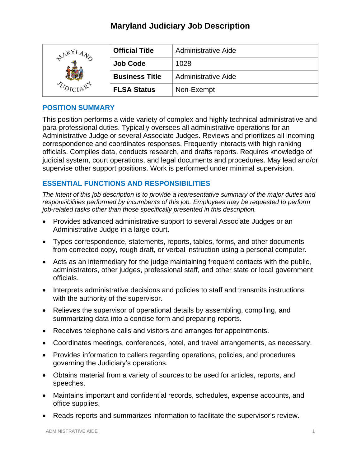# **Maryland Judiciary Job Description**

| RY | <b>Official Title</b> | Administrative Aide        |
|----|-----------------------|----------------------------|
|    | <b>Job Code</b>       | 1028                       |
|    | <b>Business Title</b> | <b>Administrative Aide</b> |
|    | <b>FLSA Status</b>    | Non-Exempt                 |

## **POSITION SUMMARY**

This position performs a wide variety of complex and highly technical administrative and para-professional duties. Typically oversees all administrative operations for an Administrative Judge or several Associate Judges. Reviews and prioritizes all incoming correspondence and coordinates responses. Frequently interacts with high ranking officials. Compiles data, conducts research, and drafts reports. Requires knowledge of judicial system, court operations, and legal documents and procedures. May lead and/or supervise other support positions. Work is performed under minimal supervision.

## **ESSENTIAL FUNCTIONS AND RESPONSIBILITIES**

*The intent of this job description is to provide a representative summary of the major duties and responsibilities performed by incumbents of this job. Employees may be requested to perform job-related tasks other than those specifically presented in this description.*

- Provides advanced administrative support to several Associate Judges or an Administrative Judge in a large court.
- Types correspondence, statements, reports, tables, forms, and other documents from corrected copy, rough draft, or verbal instruction using a personal computer.
- Acts as an intermediary for the judge maintaining frequent contacts with the public, administrators, other judges, professional staff, and other state or local government officials.
- Interprets administrative decisions and policies to staff and transmits instructions with the authority of the supervisor.
- Relieves the supervisor of operational details by assembling, compiling, and summarizing data into a concise form and preparing reports.
- Receives telephone calls and visitors and arranges for appointments.
- Coordinates meetings, conferences, hotel, and travel arrangements, as necessary.
- Provides information to callers regarding operations, policies, and procedures governing the Judiciary's operations.
- Obtains material from a variety of sources to be used for articles, reports, and speeches.
- Maintains important and confidential records, schedules, expense accounts, and office supplies.
- Reads reports and summarizes information to facilitate the supervisor's review.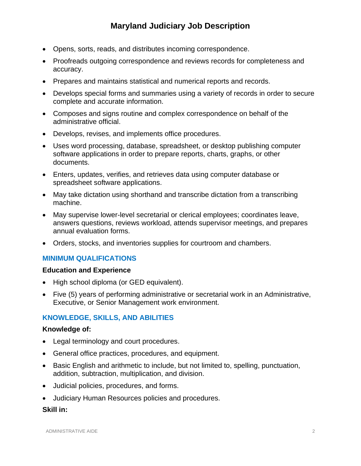- Opens, sorts, reads, and distributes incoming correspondence.
- Proofreads outgoing correspondence and reviews records for completeness and accuracy.
- Prepares and maintains statistical and numerical reports and records.
- Develops special forms and summaries using a variety of records in order to secure complete and accurate information.
- Composes and signs routine and complex correspondence on behalf of the administrative official.
- Develops, revises, and implements office procedures.
- Uses word processing, database, spreadsheet, or desktop publishing computer software applications in order to prepare reports, charts, graphs, or other documents.
- Enters, updates, verifies, and retrieves data using computer database or spreadsheet software applications.
- May take dictation using shorthand and transcribe dictation from a transcribing machine.
- May supervise lower-level secretarial or clerical employees; coordinates leave, answers questions, reviews workload, attends supervisor meetings, and prepares annual evaluation forms.
- Orders, stocks, and inventories supplies for courtroom and chambers.

## **MINIMUM QUALIFICATIONS**

#### **Education and Experience**

- High school diploma (or GED equivalent).
- Five (5) years of performing administrative or secretarial work in an Administrative, Executive, or Senior Management work environment.

## **KNOWLEDGE, SKILLS, AND ABILITIES**

#### **Knowledge of:**

- Legal terminology and court procedures.
- General office practices, procedures, and equipment.
- Basic English and arithmetic to include, but not limited to, spelling, punctuation, addition, subtraction, multiplication, and division.
- Judicial policies, procedures, and forms.
- Judiciary Human Resources policies and procedures.

#### **Skill in:**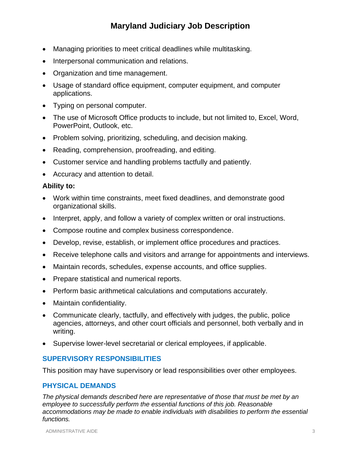- Managing priorities to meet critical deadlines while multitasking.
- Interpersonal communication and relations.
- Organization and time management.
- Usage of standard office equipment, computer equipment, and computer applications.
- Typing on personal computer.
- The use of Microsoft Office products to include, but not limited to, Excel, Word, PowerPoint, Outlook, etc.
- Problem solving, prioritizing, scheduling, and decision making.
- Reading, comprehension, proofreading, and editing.
- Customer service and handling problems tactfully and patiently.
- Accuracy and attention to detail.

#### **Ability to:**

- Work within time constraints, meet fixed deadlines, and demonstrate good organizational skills.
- Interpret, apply, and follow a variety of complex written or oral instructions.
- Compose routine and complex business correspondence.
- Develop, revise, establish, or implement office procedures and practices.
- Receive telephone calls and visitors and arrange for appointments and interviews.
- Maintain records, schedules, expense accounts, and office supplies.
- Prepare statistical and numerical reports.
- Perform basic arithmetical calculations and computations accurately.
- Maintain confidentiality.
- Communicate clearly, tactfully, and effectively with judges, the public, police agencies, attorneys, and other court officials and personnel, both verbally and in writing.
- Supervise lower-level secretarial or clerical employees, if applicable.

### **SUPERVISORY RESPONSIBILITIES**

This position may have supervisory or lead responsibilities over other employees.

### **PHYSICAL DEMANDS**

*The physical demands described here are representative of those that must be met by an employee to successfully perform the essential functions of this job. Reasonable accommodations may be made to enable individuals with disabilities to perform the essential functions.*